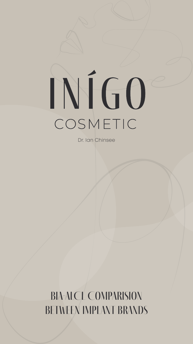# COSMETIC

Dr. Ian Chinsee

BIA-ALCL Comparision BETWEEN IMPLANT BRANDS

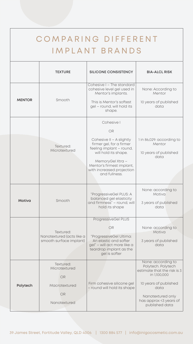| COMPARING DIFFERENT<br>IMPLANT BRANDS |                                                                                |                                                                                                                                                                                                                                      |                                                                                                                                                                                           |
|---------------------------------------|--------------------------------------------------------------------------------|--------------------------------------------------------------------------------------------------------------------------------------------------------------------------------------------------------------------------------------|-------------------------------------------------------------------------------------------------------------------------------------------------------------------------------------------|
|                                       | <b>TEXTURE</b>                                                                 | <b>SILICONE CONSISTENCY</b>                                                                                                                                                                                                          | <b>BIA-ALCL RISK</b>                                                                                                                                                                      |
| <b>MENTOR</b>                         | Smooth                                                                         | Cohesive I – The standard<br>cohesive level gel used in<br>Mentor's implants.<br>This is Mentor's softest<br>gel – round, will hold its<br>shape.                                                                                    | None: According to<br>Mentor<br>10 years of published<br>data                                                                                                                             |
|                                       | Textured:<br>Microtextured                                                     | Cohesive I<br><b>OR</b><br>Cohesive $II - A$ slightly<br>firmer gel, for a firmer<br>feeling implant - round,<br>will hold its shape.<br>MemoryGel Xtra -<br>Mentor's firmest implant,<br>with increased projection<br>and fullness. | 1 in 86,029: according to<br>Mentor<br>10 years of published<br>data                                                                                                                      |
| <b>Motiva</b>                         | Smooth                                                                         | "ProgressiveGel PLUS: A<br>balanced gel elasticity<br>and firmness" - round, will<br>hold its shape                                                                                                                                  | None: according to<br>Motiva<br>3 years of published<br>data                                                                                                                              |
|                                       | Textured:<br>Nanotextured (acts like a<br>smooth surface implant)              | ProgressiveGel PLUS<br><b>OR</b><br>"ProgressiveGel Ultima:<br>An elastic and softer<br>gel" – will act more like a<br>teardrop implant as the<br>gel is softer                                                                      | None: according to<br>Motiva<br>3 years of published<br>data                                                                                                                              |
| Polytech                              | Textured:<br>Microtextured<br><b>OR</b><br>Macrotextured<br>OR<br>Nanotextured | Firm cohesive silicone gel<br>- round will hold its shape                                                                                                                                                                            | None: according to<br>Polytech. Polytech<br>estimate that the risk is 3<br>in 1,100,000<br>10 years of published<br>data<br>Nanotextured only<br>has approx <3 years of<br>published data |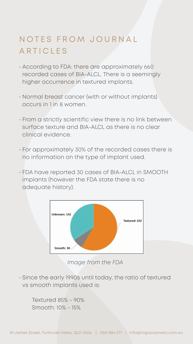# N O T E S F R O M J O U R N A L ARTICLES

- According to FDA: there are approximately 660 recorded cases of BIA-ALCL. There is a seemingly higher occurrence in textured implants.
- Normal breast cancer (with or without implants) occurs in 1 in 8 women.
- From a strictly scientific view there is no link between surface texture and BIA-ALCL as there is no clear clinical evidence.
- For approximately 30% of the recorded cases there is no information on the type of implant used.
- FDA have reported 30 cases of BIA-ALCL in SMOOTH implants (however the FDA state there is no adequate history).



*Image from the FDA*

• Since the early 1990s until today, the ratio of textured vs smooth implants used is:

 Textured 85% - 90% Smooth: 10% - 15%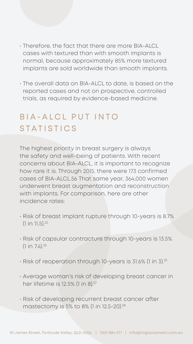- Therefore, the fact that there are more BIA-ALCL cases with textured than with smooth implants is normal, because approximately 85% more textured implants are sold worldwide than smooth implants.
- The overall data on BIA-ALCL to date, is based on the reported cases and not on prospective, controlled trials, as required by evidence-based medicine.

# B | A - A L C L P U T I N T O STATISTICS

- Risk of breast implant rupture through 10-years is 8.7%  $(1 in 11.5).^{25}$
- Risk of capsular contracture through 10-years is 13.5%  $(1 in 7.4).^{25}$
- Risk of reoperation through 10-years is 31.6% (1 in 3).25
- Average woman's risk of developing breast cancer in her lifetime is 12.5% (1 in 8).<sup>57</sup>
- Risk of developing recurrent breast cancer after mastectomy is 5% to 8% (1 in 12.5-20).<sup>58</sup>

The highest priority in breast surgery is always the safety and well-being of patients. With recent

concerns about BIA-ALCL, it is important to recognize how rare it is. Through 2015, there were 173 confirmed cases of BIA-ALCL.56 That same year, 364,000 women underwent breast augmentation and reconstruction with implants. For comparison, here are other incidence rates: